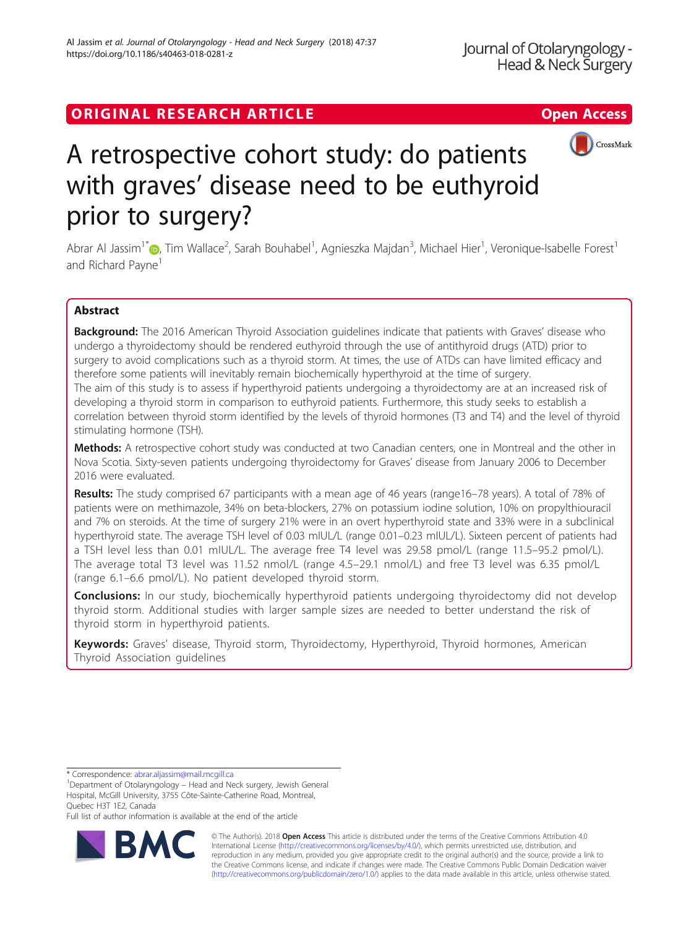## ORIGINAL RESEARCH ARTICLE **Solution Contract Contract Contract Contract Contract Contract Contract Contract Contract Contract Contract Contract Contract Contract Contract Contract Contract Contract Contract Contract Contra**



# A retrospective cohort study: do patients with graves' disease need to be euthyroid prior to surgery?

Abrar Al Jassim<sup>1\*</sup> (**p**[,](http://orcid.org/0000-0002-6491-0519) Tim Wallace<sup>2</sup>, Sarah Bouhabel<sup>1</sup>, Agnieszka Majdan<sup>3</sup>, Michael Hier<sup>1</sup>, Veronique-Isabelle Forest<sup>1</sup> and Richard Payne<sup>1</sup>

## Abstract

Background: The 2016 American Thyroid Association guidelines indicate that patients with Graves' disease who undergo a thyroidectomy should be rendered euthyroid through the use of antithyroid drugs (ATD) prior to surgery to avoid complications such as a thyroid storm. At times, the use of ATDs can have limited efficacy and therefore some patients will inevitably remain biochemically hyperthyroid at the time of surgery. The aim of this study is to assess if hyperthyroid patients undergoing a thyroidectomy are at an increased risk of developing a thyroid storm in comparison to euthyroid patients. Furthermore, this study seeks to establish a correlation between thyroid storm identified by the levels of thyroid hormones (T3 and T4) and the level of thyroid stimulating hormone (TSH).

Methods: A retrospective cohort study was conducted at two Canadian centers, one in Montreal and the other in Nova Scotia. Sixty-seven patients undergoing thyroidectomy for Graves' disease from January 2006 to December 2016 were evaluated.

Results: The study comprised 67 participants with a mean age of 46 years (range16–78 years). A total of 78% of patients were on methimazole, 34% on beta-blockers, 27% on potassium iodine solution, 10% on propylthiouracil and 7% on steroids. At the time of surgery 21% were in an overt hyperthyroid state and 33% were in a subclinical hyperthyroid state. The average TSH level of 0.03 mIUL/L (range 0.01–0.23 mIUL/L). Sixteen percent of patients had a TSH level less than 0.01 mIUL/L. The average free T4 level was 29.58 pmol/L (range 11.5–95.2 pmol/L). The average total T3 level was 11.52 nmol/L (range 4.5–29.1 nmol/L) and free T3 level was 6.35 pmol/L (range 6.1–6.6 pmol/L). No patient developed thyroid storm.

**Conclusions:** In our study, biochemically hyperthyroid patients undergoing thyroidectomy did not develop thyroid storm. Additional studies with larger sample sizes are needed to better understand the risk of thyroid storm in hyperthyroid patients.

Keywords: Graves' disease, Thyroid storm, Thyroidectomy, Hyperthyroid, Thyroid hormones, American Thyroid Association guidelines

\* Correspondence: [abrar.aljassim@mail.mcgill.ca](mailto:abrar.aljassim@mail.mcgill.ca) <sup>1</sup>

Full list of author information is available at the end of the article



© The Author(s). 2018 Open Access This article is distributed under the terms of the Creative Commons Attribution 4.0 International License [\(http://creativecommons.org/licenses/by/4.0/](http://creativecommons.org/licenses/by/4.0/)), which permits unrestricted use, distribution, and reproduction in any medium, provided you give appropriate credit to the original author(s) and the source, provide a link to the Creative Commons license, and indicate if changes were made. The Creative Commons Public Domain Dedication waiver [\(http://creativecommons.org/publicdomain/zero/1.0/](http://creativecommons.org/publicdomain/zero/1.0/)) applies to the data made available in this article, unless otherwise stated.

<sup>&</sup>lt;sup>1</sup>Department of Otolaryngology - Head and Neck surgery, Jewish General Hospital, McGill University, 3755 Côte-Sainte-Catherine Road, Montreal, Quebec H3T 1E2, Canada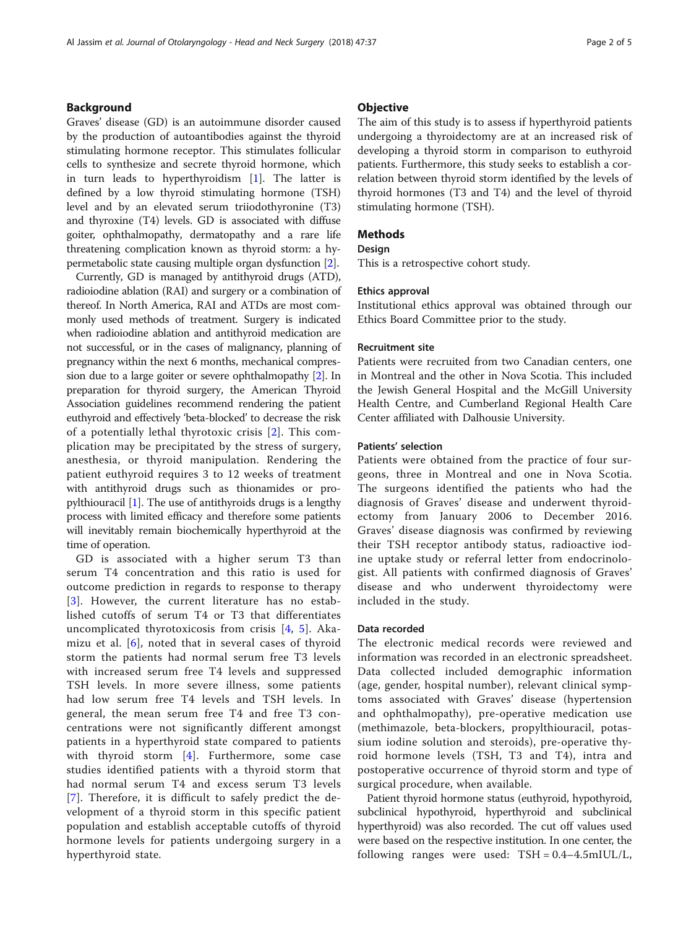## Background

Graves' disease (GD) is an autoimmune disorder caused by the production of autoantibodies against the thyroid stimulating hormone receptor. This stimulates follicular cells to synthesize and secrete thyroid hormone, which in turn leads to hyperthyroidism [[1\]](#page-4-0). The latter is defined by a low thyroid stimulating hormone (TSH) level and by an elevated serum triiodothyronine (T3) and thyroxine (T4) levels. GD is associated with diffuse goiter, ophthalmopathy, dermatopathy and a rare life threatening complication known as thyroid storm: a hypermetabolic state causing multiple organ dysfunction [\[2\]](#page-4-0).

Currently, GD is managed by antithyroid drugs (ATD), radioiodine ablation (RAI) and surgery or a combination of thereof. In North America, RAI and ATDs are most commonly used methods of treatment. Surgery is indicated when radioiodine ablation and antithyroid medication are not successful, or in the cases of malignancy, planning of pregnancy within the next 6 months, mechanical compression due to a large goiter or severe ophthalmopathy [\[2\]](#page-4-0). In preparation for thyroid surgery, the American Thyroid Association guidelines recommend rendering the patient euthyroid and effectively 'beta-blocked' to decrease the risk of a potentially lethal thyrotoxic crisis [[2](#page-4-0)]. This complication may be precipitated by the stress of surgery, anesthesia, or thyroid manipulation. Rendering the patient euthyroid requires 3 to 12 weeks of treatment with antithyroid drugs such as thionamides or propylthiouracil [\[1](#page-4-0)]. The use of antithyroids drugs is a lengthy process with limited efficacy and therefore some patients will inevitably remain biochemically hyperthyroid at the time of operation.

GD is associated with a higher serum T3 than serum T4 concentration and this ratio is used for outcome prediction in regards to response to therapy [[3](#page-4-0)]. However, the current literature has no established cutoffs of serum T4 or T3 that differentiates uncomplicated thyrotoxicosis from crisis [[4](#page-4-0), [5\]](#page-4-0). Akamizu et al. [\[6](#page-4-0)], noted that in several cases of thyroid storm the patients had normal serum free T3 levels with increased serum free T4 levels and suppressed TSH levels. In more severe illness, some patients had low serum free T4 levels and TSH levels. In general, the mean serum free T4 and free T3 concentrations were not significantly different amongst patients in a hyperthyroid state compared to patients with thyroid storm [[4\]](#page-4-0). Furthermore, some case studies identified patients with a thyroid storm that had normal serum T4 and excess serum T3 levels [[7](#page-4-0)]. Therefore, it is difficult to safely predict the development of a thyroid storm in this specific patient population and establish acceptable cutoffs of thyroid hormone levels for patients undergoing surgery in a hyperthyroid state.

## **Objective**

The aim of this study is to assess if hyperthyroid patients undergoing a thyroidectomy are at an increased risk of developing a thyroid storm in comparison to euthyroid patients. Furthermore, this study seeks to establish a correlation between thyroid storm identified by the levels of thyroid hormones (T3 and T4) and the level of thyroid stimulating hormone (TSH).

## Methods

## Design

This is a retrospective cohort study.

## Ethics approval

Institutional ethics approval was obtained through our Ethics Board Committee prior to the study.

### Recruitment site

Patients were recruited from two Canadian centers, one in Montreal and the other in Nova Scotia. This included the Jewish General Hospital and the McGill University Health Centre, and Cumberland Regional Health Care Center affiliated with Dalhousie University.

#### Patients' selection

Patients were obtained from the practice of four surgeons, three in Montreal and one in Nova Scotia. The surgeons identified the patients who had the diagnosis of Graves' disease and underwent thyroidectomy from January 2006 to December 2016. Graves' disease diagnosis was confirmed by reviewing their TSH receptor antibody status, radioactive iodine uptake study or referral letter from endocrinologist. All patients with confirmed diagnosis of Graves' disease and who underwent thyroidectomy were included in the study.

## Data recorded

The electronic medical records were reviewed and information was recorded in an electronic spreadsheet. Data collected included demographic information (age, gender, hospital number), relevant clinical symptoms associated with Graves' disease (hypertension and ophthalmopathy), pre-operative medication use (methimazole, beta-blockers, propylthiouracil, potassium iodine solution and steroids), pre-operative thyroid hormone levels (TSH, T3 and T4), intra and postoperative occurrence of thyroid storm and type of surgical procedure, when available.

Patient thyroid hormone status (euthyroid, hypothyroid, subclinical hypothyroid, hyperthyroid and subclinical hyperthyroid) was also recorded. The cut off values used were based on the respective institution. In one center, the following ranges were used: TSH = 0.4–4.5mIUL/L,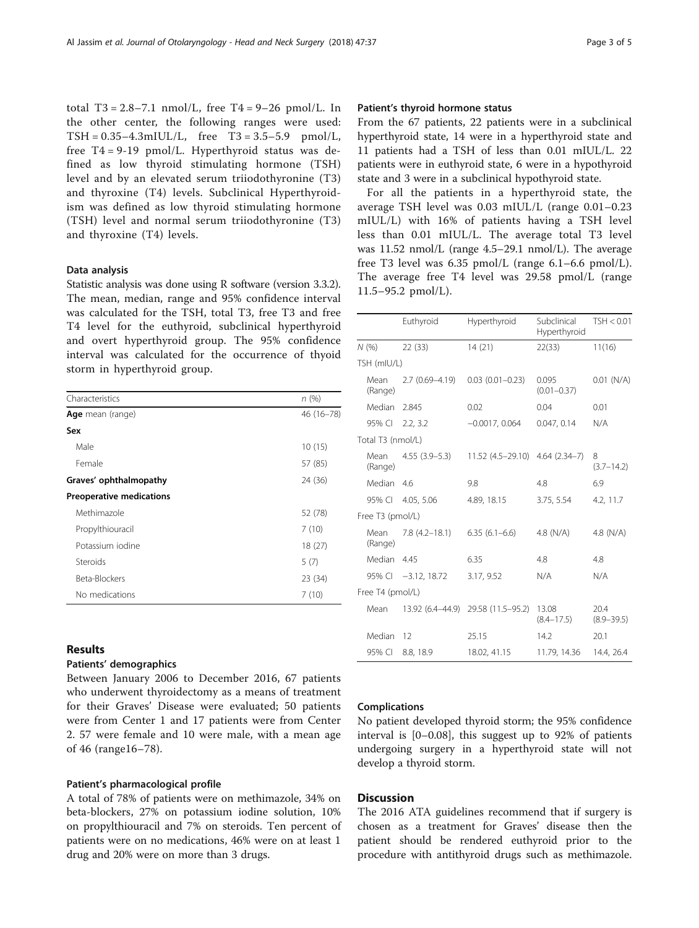total T3 = 2.8–7.1 nmol/L, free T4 =  $9-26$  pmol/L. In the other center, the following ranges were used: TSH = 0.35–4.3mIUL/L, free T3 = 3.5–5.9 pmol/L, free T4 = 9-19 pmol/L. Hyperthyroid status was defined as low thyroid stimulating hormone (TSH) level and by an elevated serum triiodothyronine (T3) and thyroxine (T4) levels. Subclinical Hyperthyroidism was defined as low thyroid stimulating hormone (TSH) level and normal serum triiodothyronine (T3) and thyroxine (T4) levels.

#### Data analysis

Statistic analysis was done using R software (version 3.3.2). The mean, median, range and 95% confidence interval was calculated for the TSH, total T3, free T3 and free T4 level for the euthyroid, subclinical hyperthyroid and overt hyperthyroid group. The 95% confidence interval was calculated for the occurrence of thyoid storm in hyperthyroid group.

| Characteristics                 | n(%)       |
|---------------------------------|------------|
| <b>Age</b> mean (range)         | 46 (16-78) |
| Sex                             |            |
| Male                            | 10(15)     |
| Female                          | 57 (85)    |
| Graves' ophthalmopathy          | 24 (36)    |
| <b>Preoperative medications</b> |            |
| Methimazole                     | 52 (78)    |
| Propylthiouracil                | 7(10)      |
| Potassium iodine                | 18(27)     |
| Steroids                        | 5(7)       |
| Beta-Blockers                   | 23 (34)    |
| No medications                  | 7(10)      |

## Results

## Patients' demographics

Between January 2006 to December 2016, 67 patients who underwent thyroidectomy as a means of treatment for their Graves' Disease were evaluated; 50 patients were from Center 1 and 17 patients were from Center 2. 57 were female and 10 were male, with a mean age of 46 (range16–78).

## Patient's pharmacological profile

A total of 78% of patients were on methimazole, 34% on beta-blockers, 27% on potassium iodine solution, 10% on propylthiouracil and 7% on steroids. Ten percent of patients were on no medications, 46% were on at least 1 drug and 20% were on more than 3 drugs.

## Patient's thyroid hormone status

From the 67 patients, 22 patients were in a subclinical hyperthyroid state, 14 were in a hyperthyroid state and 11 patients had a TSH of less than 0.01 mIUL/L. 22 patients were in euthyroid state, 6 were in a hypothyroid state and 3 were in a subclinical hypothyroid state.

For all the patients in a hyperthyroid state, the average TSH level was 0.03 mIUL/L (range 0.01–0.23 mIUL/L) with 16% of patients having a TSH level less than 0.01 mIUL/L. The average total T3 level was 11.52 nmol/L (range 4.5–29.1 nmol/L). The average free T3 level was 6.35 pmol/L (range 6.1–6.6 pmol/L). The average free T4 level was 29.58 pmol/L (range 11.5–95.2 pmol/L).

|                   |                 | Euthyroid           | Hyperthyroid                    | Subclinical<br>Hyperthyroid | TSH < 0.01             |  |
|-------------------|-----------------|---------------------|---------------------------------|-----------------------------|------------------------|--|
|                   | N (%)           | 22(33)              | 14(21)                          | 22(33)                      | 11(16)                 |  |
| TSH (mIU/L)       |                 |                     |                                 |                             |                        |  |
|                   | Mean<br>(Range) | $2.7(0.69 - 4.19)$  | $0.03(0.01 - 0.23)$             | 0.095<br>$(0.01 - 0.37)$    | $0.01$ (N/A)           |  |
|                   | Median 2.845    |                     | 0.02                            | 0.04                        | 0.01                   |  |
|                   | 95% Cl 2.2, 3.2 |                     | $-0.0017, 0.064$                | 0.047, 0.14                 | N/A                    |  |
| Total T3 (nmol/L) |                 |                     |                                 |                             |                        |  |
|                   | Mean<br>(Range) | $4.55(3.9-5.3)$     | 11.52 (4.5-29.10) 4.64 (2.34-7) |                             | 8<br>$(3.7 - 14.2)$    |  |
|                   | Median 4.6      |                     | 9.8                             | 4.8                         | 6.9                    |  |
|                   |                 | 95% Cl 4.05, 5.06   | 4.89, 18.15                     | 3.75, 5.54                  | 4.2, 11.7              |  |
| Free T3 (pmol/L)  |                 |                     |                                 |                             |                        |  |
|                   | Mean<br>(Range) | $7.8(4.2 - 18.1)$   | $6.35(6.1-6.6)$                 | 4.8 $(N/A)$                 | 4.8 $(N/A)$            |  |
|                   | Median 4.45     |                     | 6.35                            | 4.8                         | 4.8                    |  |
|                   |                 | 95% CI -3.12, 18.72 | 3.17, 9.52                      | N/A                         | N/A                    |  |
| Free T4 (pmol/L)  |                 |                     |                                 |                             |                        |  |
|                   | Mean            | 13.92 (6.4–44.9)    | 29.58 (11.5–95.2)               | 13.08<br>$(8.4 - 17.5)$     | 20.4<br>$(8.9 - 39.5)$ |  |
|                   | Median          | 12                  | 25.15                           | 14.2                        | 20.1                   |  |
|                   | 95% CI          | 8.8, 18.9           | 18.02, 41.15                    | 11.79, 14.36                | 14.4, 26.4             |  |

#### Complications

No patient developed thyroid storm; the 95% confidence interval is [0–0.08], this suggest up to 92% of patients undergoing surgery in a hyperthyroid state will not develop a thyroid storm.

## **Discussion**

The 2016 ATA guidelines recommend that if surgery is chosen as a treatment for Graves' disease then the patient should be rendered euthyroid prior to the procedure with antithyroid drugs such as methimazole.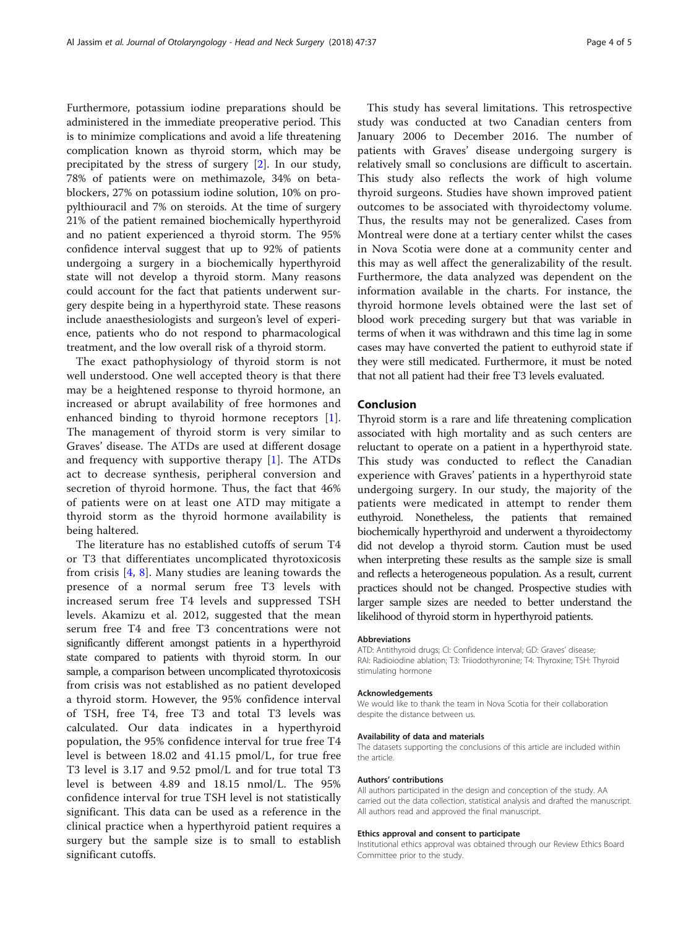Furthermore, potassium iodine preparations should be administered in the immediate preoperative period. This is to minimize complications and avoid a life threatening complication known as thyroid storm, which may be precipitated by the stress of surgery [\[2](#page-4-0)]. In our study, 78% of patients were on methimazole, 34% on betablockers, 27% on potassium iodine solution, 10% on propylthiouracil and 7% on steroids. At the time of surgery 21% of the patient remained biochemically hyperthyroid and no patient experienced a thyroid storm. The 95% confidence interval suggest that up to 92% of patients undergoing a surgery in a biochemically hyperthyroid state will not develop a thyroid storm. Many reasons could account for the fact that patients underwent surgery despite being in a hyperthyroid state. These reasons include anaesthesiologists and surgeon's level of experience, patients who do not respond to pharmacological treatment, and the low overall risk of a thyroid storm.

The exact pathophysiology of thyroid storm is not well understood. One well accepted theory is that there may be a heightened response to thyroid hormone, an increased or abrupt availability of free hormones and enhanced binding to thyroid hormone receptors [\[1](#page-4-0)]. The management of thyroid storm is very similar to Graves' disease. The ATDs are used at different dosage and frequency with supportive therapy [[1\]](#page-4-0). The ATDs act to decrease synthesis, peripheral conversion and secretion of thyroid hormone. Thus, the fact that 46% of patients were on at least one ATD may mitigate a thyroid storm as the thyroid hormone availability is being haltered.

The literature has no established cutoffs of serum T4 or T3 that differentiates uncomplicated thyrotoxicosis from crisis  $[4, 8]$  $[4, 8]$  $[4, 8]$ . Many studies are leaning towards the presence of a normal serum free T3 levels with increased serum free T4 levels and suppressed TSH levels. Akamizu et al. 2012, suggested that the mean serum free T4 and free T3 concentrations were not significantly different amongst patients in a hyperthyroid state compared to patients with thyroid storm. In our sample, a comparison between uncomplicated thyrotoxicosis from crisis was not established as no patient developed a thyroid storm. However, the 95% confidence interval of TSH, free T4, free T3 and total T3 levels was calculated. Our data indicates in a hyperthyroid population, the 95% confidence interval for true free T4 level is between 18.02 and 41.15 pmol/L, for true free T3 level is 3.17 and 9.52 pmol/L and for true total T3 level is between 4.89 and 18.15 nmol/L. The 95% confidence interval for true TSH level is not statistically significant. This data can be used as a reference in the clinical practice when a hyperthyroid patient requires a surgery but the sample size is to small to establish significant cutoffs.

This study has several limitations. This retrospective study was conducted at two Canadian centers from January 2006 to December 2016. The number of patients with Graves' disease undergoing surgery is relatively small so conclusions are difficult to ascertain. This study also reflects the work of high volume thyroid surgeons. Studies have shown improved patient outcomes to be associated with thyroidectomy volume. Thus, the results may not be generalized. Cases from Montreal were done at a tertiary center whilst the cases in Nova Scotia were done at a community center and this may as well affect the generalizability of the result. Furthermore, the data analyzed was dependent on the information available in the charts. For instance, the thyroid hormone levels obtained were the last set of blood work preceding surgery but that was variable in terms of when it was withdrawn and this time lag in some cases may have converted the patient to euthyroid state if they were still medicated. Furthermore, it must be noted that not all patient had their free T3 levels evaluated.

## Conclusion

Thyroid storm is a rare and life threatening complication associated with high mortality and as such centers are reluctant to operate on a patient in a hyperthyroid state. This study was conducted to reflect the Canadian experience with Graves' patients in a hyperthyroid state undergoing surgery. In our study, the majority of the patients were medicated in attempt to render them euthyroid. Nonetheless, the patients that remained biochemically hyperthyroid and underwent a thyroidectomy did not develop a thyroid storm. Caution must be used when interpreting these results as the sample size is small and reflects a heterogeneous population. As a result, current practices should not be changed. Prospective studies with larger sample sizes are needed to better understand the likelihood of thyroid storm in hyperthyroid patients.

#### Abbreviations

ATD: Antithyroid drugs; CI: Confidence interval; GD: Graves' disease; RAI: Radioiodine ablation; T3: Triiodothyronine; T4: Thyroxine; TSH: Thyroid stimulating hormone

#### Acknowledgements

We would like to thank the team in Nova Scotia for their collaboration despite the distance between us.

#### Availability of data and materials

The datasets supporting the conclusions of this article are included within the article.

#### Authors' contributions

All authors participated in the design and conception of the study. AA carried out the data collection, statistical analysis and drafted the manuscript. All authors read and approved the final manuscript.

#### Ethics approval and consent to participate

Institutional ethics approval was obtained through our Review Ethics Board Committee prior to the study.